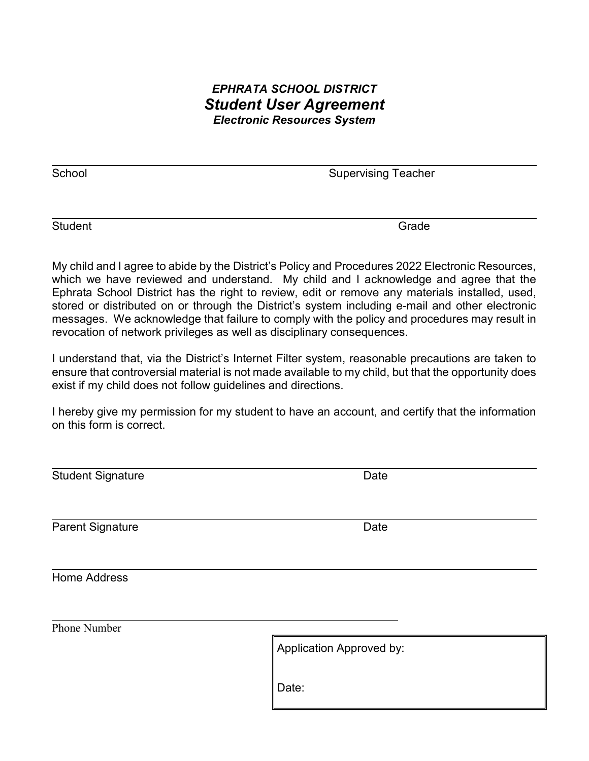## EPHRATA SCHOOL DISTRICT Student User Agreement Electronic Resources System

| School | <b>Supervising Teacher</b> |
|--------|----------------------------|
|        |                            |
|        |                            |

Student Grade Communication of the Communication of the Communication of the Grade

l

My child and I agree to abide by the District's Policy and Procedures 2022 Electronic Resources, which we have reviewed and understand. My child and I acknowledge and agree that the Ephrata School District has the right to review, edit or remove any materials installed, used, stored or distributed on or through the District's system including e-mail and other electronic messages. We acknowledge that failure to comply with the policy and procedures may result in revocation of network privileges as well as disciplinary consequences.

I understand that, via the District's Internet Filter system, reasonable precautions are taken to ensure that controversial material is not made available to my child, but that the opportunity does exist if my child does not follow guidelines and directions.

I hereby give my permission for my student to have an account, and certify that the information on this form is correct.

| <b>Student Signature</b> | Date                     |  |
|--------------------------|--------------------------|--|
| <b>Parent Signature</b>  | Date                     |  |
| <b>Home Address</b>      |                          |  |
| Phone Number             | Application Approved by: |  |
|                          | Date:                    |  |
|                          |                          |  |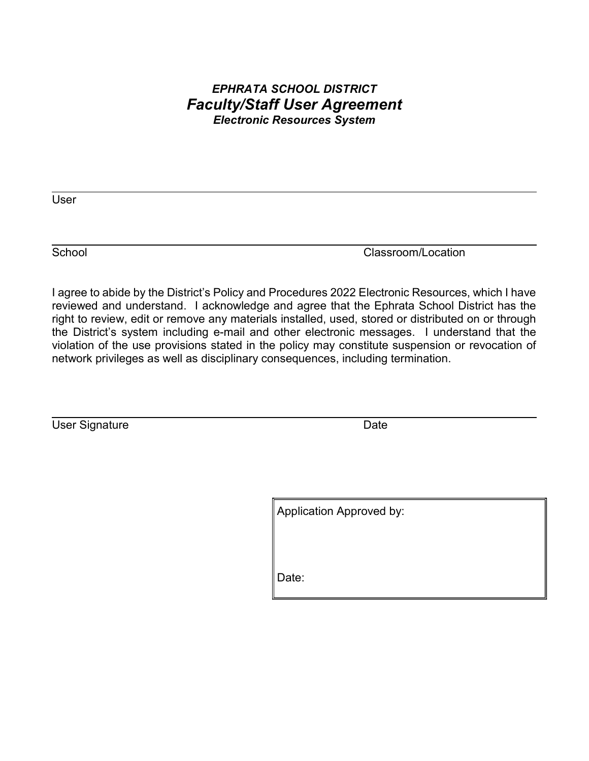## EPHRATA SCHOOL DISTRICT Faculty/Staff User Agreement Electronic Resources System

User

l

School Classroom/Location

I agree to abide by the District's Policy and Procedures 2022 Electronic Resources, which I have reviewed and understand. I acknowledge and agree that the Ephrata School District has the right to review, edit or remove any materials installed, used, stored or distributed on or through the District's system including e-mail and other electronic messages. I understand that the violation of the use provisions stated in the policy may constitute suspension or revocation of network privileges as well as disciplinary consequences, including termination.

l User Signature Date

Application Approved by:

Date: